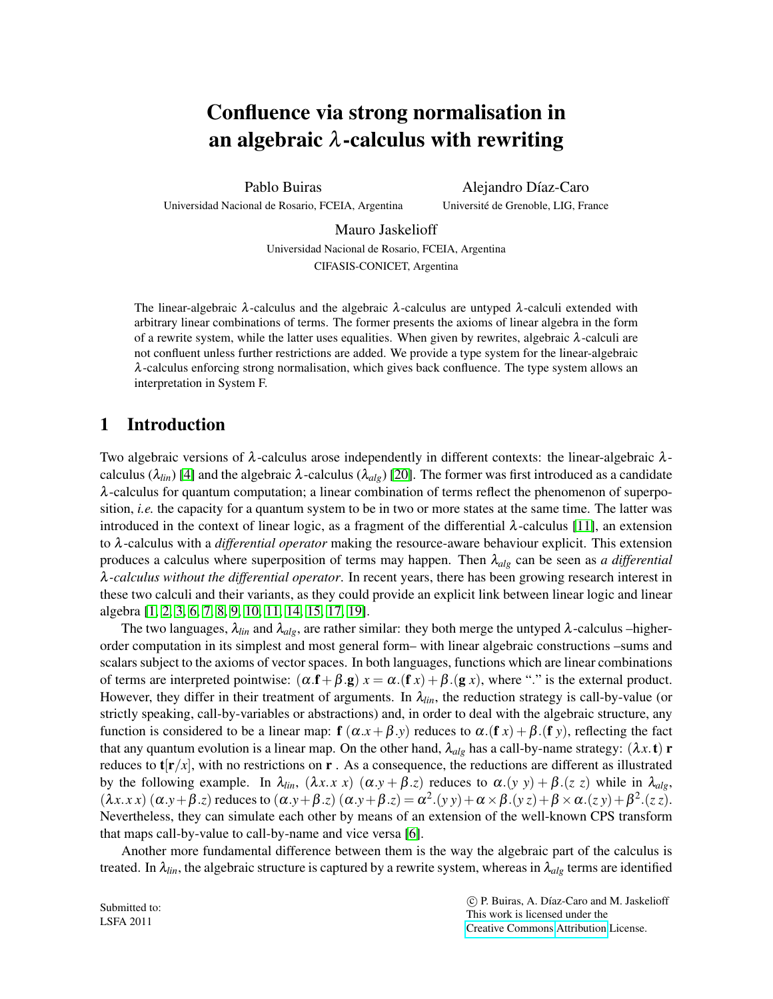# Confluence via strong normalisation in an algebraic  $\lambda$ -calculus with rewriting

Pablo Buiras

Universidad Nacional de Rosario, FCEIA, Argentina

Alejandro Díaz-Caro Universite de Grenoble, LIG, France ´

Mauro Jaskelioff Universidad Nacional de Rosario, FCEIA, Argentina CIFASIS-CONICET, Argentina

The linear-algebraic  $\lambda$ -calculus and the algebraic  $\lambda$ -calculus are untyped  $\lambda$ -calculi extended with arbitrary linear combinations of terms. The former presents the axioms of linear algebra in the form of a rewrite system, while the latter uses equalities. When given by rewrites, algebraic  $\lambda$ -calculi are not confluent unless further restrictions are added. We provide a type system for the linear-algebraic  $\lambda$ -calculus enforcing strong normalisation, which gives back confluence. The type system allows an interpretation in System F.

# 1 Introduction

Two algebraic versions of  $\lambda$ -calculus arose independently in different contexts: the linear-algebraic  $\lambda$ calculus ( $\lambda_{lin}$ ) [\[4\]](#page-13-0) and the algebraic  $\lambda$ -calculus ( $\lambda_{alg}$ ) [\[20\]](#page-13-1). The former was first introduced as a candidate λ-calculus for quantum computation; a linear combination of terms reflect the phenomenon of superposition, *i.e.* the capacity for a quantum system to be in two or more states at the same time. The latter was introduced in the context of linear logic, as a fragment of the differential  $\lambda$ -calculus [\[11\]](#page-13-2), an extension to λ-calculus with a *differential operator* making the resource-aware behaviour explicit. This extension produces a calculus where superposition of terms may happen. Then λ*alg* can be seen as *a differential* λ*-calculus without the differential operator*. In recent years, there has been growing research interest in these two calculi and their variants, as they could provide an explicit link between linear logic and linear algebra [\[1,](#page-12-0) [2,](#page-12-1) [3,](#page-12-2) [6,](#page-13-3) [7,](#page-13-4) [8,](#page-13-5) [9,](#page-13-6) [10,](#page-13-7) [11,](#page-13-2) [14,](#page-13-8) [15,](#page-13-9) [17,](#page-13-10) [19\]](#page-13-11).

The two languages,  $\lambda_{lin}$  and  $\lambda_{alg}$ , are rather similar: they both merge the untyped  $\lambda$ -calculus –higherorder computation in its simplest and most general form– with linear algebraic constructions –sums and scalars subject to the axioms of vector spaces. In both languages, functions which are linear combinations of terms are interpreted pointwise:  $(\alpha \cdot f + \beta \cdot g) x = \alpha \cdot (f x) + \beta \cdot (g x)$ , where "." is the external product. However, they differ in their treatment of arguments. In  $\lambda_{lin}$ , the reduction strategy is call-by-value (or strictly speaking, call-by-variables or abstractions) and, in order to deal with the algebraic structure, any function is considered to be a linear map:  $f(\alpha.x + \beta.y)$  reduces to  $\alpha.(f x) + \beta.(f y)$ , reflecting the fact that any quantum evolution is a linear map. On the other hand,  $\lambda_{alg}$  has a call-by-name strategy:  $(\lambda x. t)$  **r** reduces to  $t[r/x]$ , with no restrictions on  $r$ . As a consequence, the reductions are different as illustrated by the following example. In  $\lambda_{lin}$ ,  $(\lambda x \cdot x \cdot x)$   $(\alpha \cdot y + \beta \cdot z)$  reduces to  $\alpha \cdot (y \cdot y) + \beta \cdot (z \cdot z)$  while in  $\lambda_{alg}$ ,  $(\lambda x. x x) (\alpha. y + \beta. z)$  reduces to  $(\alpha. y + \beta. z) (\alpha. y + \beta. z) = \alpha^2.(y y) + \alpha \times \beta.(y z) + \beta \times \alpha.(z y) + \beta^2.(z z)$ . Nevertheless, they can simulate each other by means of an extension of the well-known CPS transform that maps call-by-value to call-by-name and vice versa [\[6\]](#page-13-3).

Another more fundamental difference between them is the way the algebraic part of the calculus is treated. In  $\lambda_{lin}$ , the algebraic structure is captured by a rewrite system, whereas in  $\lambda_{alg}$  terms are identified

Submitted to: LSFA 2011

 c P. Buiras, A. D´ıaz-Caro and M. Jaskelioff This work is licensed under the [Creative Commons](http://creativecommons.org) [Attribution](http://creativecommons.org/licenses/by/3.0/) License.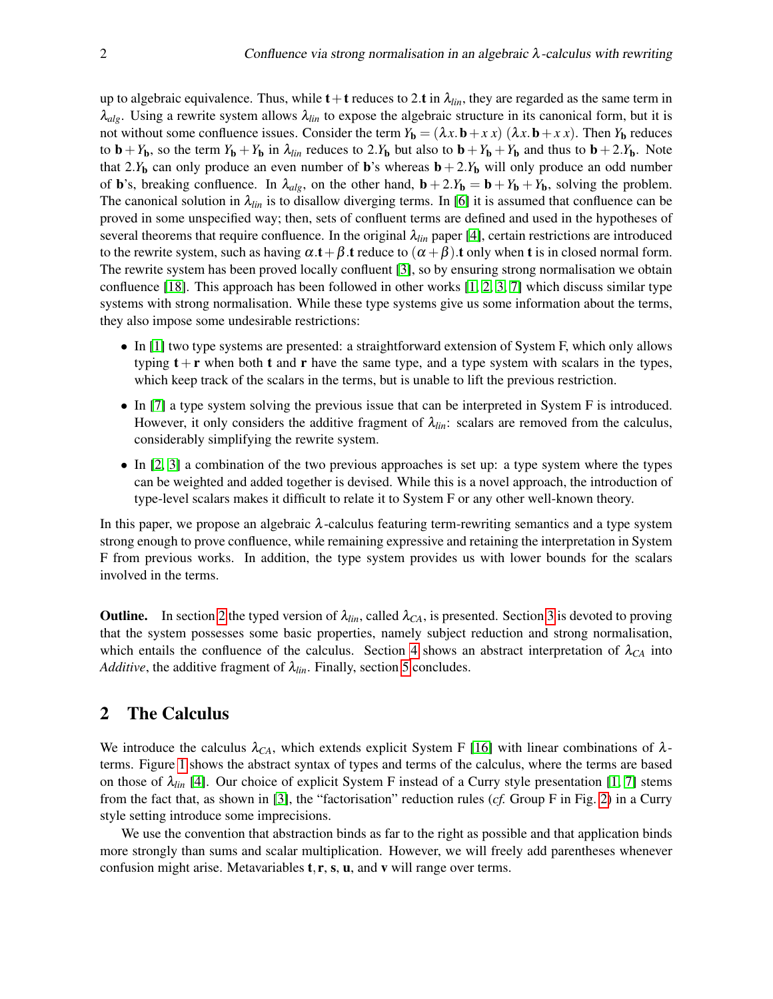up to algebraic equivalence. Thus, while  $t+t$  reduces to 2.t in  $\lambda_{lin}$ , they are regarded as the same term in  $\lambda_{alg}$ . Using a rewrite system allows  $\lambda_{lin}$  to expose the algebraic structure in its canonical form, but it is not without some confluence issues. Consider the term  $Y_b = (\lambda x \cdot b + x \cdot x)(\lambda x \cdot b + x \cdot x)$ . Then  $Y_b$  reduces to  $\mathbf{b} + Y_{\mathbf{b}}$ , so the term  $Y_{\mathbf{b}} + Y_{\mathbf{b}}$  in  $\lambda_{lin}$  reduces to 2. $Y_{\mathbf{b}}$  but also to  $\mathbf{b} + Y_{\mathbf{b}} + Y_{\mathbf{b}}$  and thus to  $\mathbf{b} + 2.Y_{\mathbf{b}}$ . Note that 2.*Y*<sub>b</sub> can only produce an even number of **b**'s whereas  $\mathbf{b} + 2$ .*Y*<sub>b</sub> will only produce an odd number of **b**'s, breaking confluence. In  $\lambda_{alg}$ , on the other hand,  $\mathbf{b} + 2.F_{\mathbf{b}} = \mathbf{b} + Y_{\mathbf{b}} + Y_{\mathbf{b}}$ , solving the problem. The canonical solution in  $\lambda_{lin}$  is to disallow diverging terms. In [\[6\]](#page-13-3) it is assumed that confluence can be proved in some unspecified way; then, sets of confluent terms are defined and used in the hypotheses of several theorems that require confluence. In the original λ*lin* paper [\[4\]](#page-13-0), certain restrictions are introduced to the rewrite system, such as having  $\alpha \cdot t + \beta \cdot t$  reduce to  $(\alpha + \beta) \cdot t$  only when t is in closed normal form. The rewrite system has been proved locally confluent [\[3\]](#page-12-2), so by ensuring strong normalisation we obtain confluence [\[18\]](#page-13-12). This approach has been followed in other works  $[1, 2, 3, 7]$  $[1, 2, 3, 7]$  $[1, 2, 3, 7]$  $[1, 2, 3, 7]$  which discuss similar type systems with strong normalisation. While these type systems give us some information about the terms, they also impose some undesirable restrictions:

- In [\[1\]](#page-12-0) two type systems are presented: a straightforward extension of System F, which only allows typing  $t + r$  when both t and r have the same type, and a type system with scalars in the types, which keep track of the scalars in the terms, but is unable to lift the previous restriction.
- In [\[7\]](#page-13-4) a type system solving the previous issue that can be interpreted in System F is introduced. However, it only considers the additive fragment of  $\lambda_{lin}$ : scalars are removed from the calculus, considerably simplifying the rewrite system.
- In [\[2,](#page-12-1) [3\]](#page-12-2) a combination of the two previous approaches is set up: a type system where the types can be weighted and added together is devised. While this is a novel approach, the introduction of type-level scalars makes it difficult to relate it to System F or any other well-known theory.

In this paper, we propose an algebraic  $\lambda$ -calculus featuring term-rewriting semantics and a type system strong enough to prove confluence, while remaining expressive and retaining the interpretation in System F from previous works. In addition, the type system provides us with lower bounds for the scalars involved in the terms.

**Outline.** In section [2](#page-1-0) the typed version of  $\lambda_{lin}$ , called  $\lambda_{CA}$ , is presented. Section [3](#page-4-0) is devoted to proving that the system possesses some basic properties, namely subject reduction and strong normalisation, which entails the confluence of the calculus. Section [4](#page-9-0) shows an abstract interpretation of  $\lambda_{CA}$  into *Additive*, the additive fragment of  $\lambda_{lin}$ . Finally, section [5](#page-12-3) concludes.

# <span id="page-1-0"></span>2 The Calculus

We introduce the calculus  $\lambda_{CA}$ , which extends explicit System F [\[16\]](#page-13-13) with linear combinations of  $\lambda$ terms. Figure [1](#page-2-0) shows the abstract syntax of types and terms of the calculus, where the terms are based on those of  $\lambda_{lin}$  [\[4\]](#page-13-0). Our choice of explicit System F instead of a Curry style presentation [\[1,](#page-12-0) [7\]](#page-13-4) stems from the fact that, as shown in [\[3\]](#page-12-2), the "factorisation" reduction rules (*cf.* Group F in Fig. [2\)](#page-3-0) in a Curry style setting introduce some imprecisions.

We use the convention that abstraction binds as far to the right as possible and that application binds more strongly than sums and scalar multiplication. However, we will freely add parentheses whenever confusion might arise. Metavariables  $t, r, s, u$ , and v will range over terms.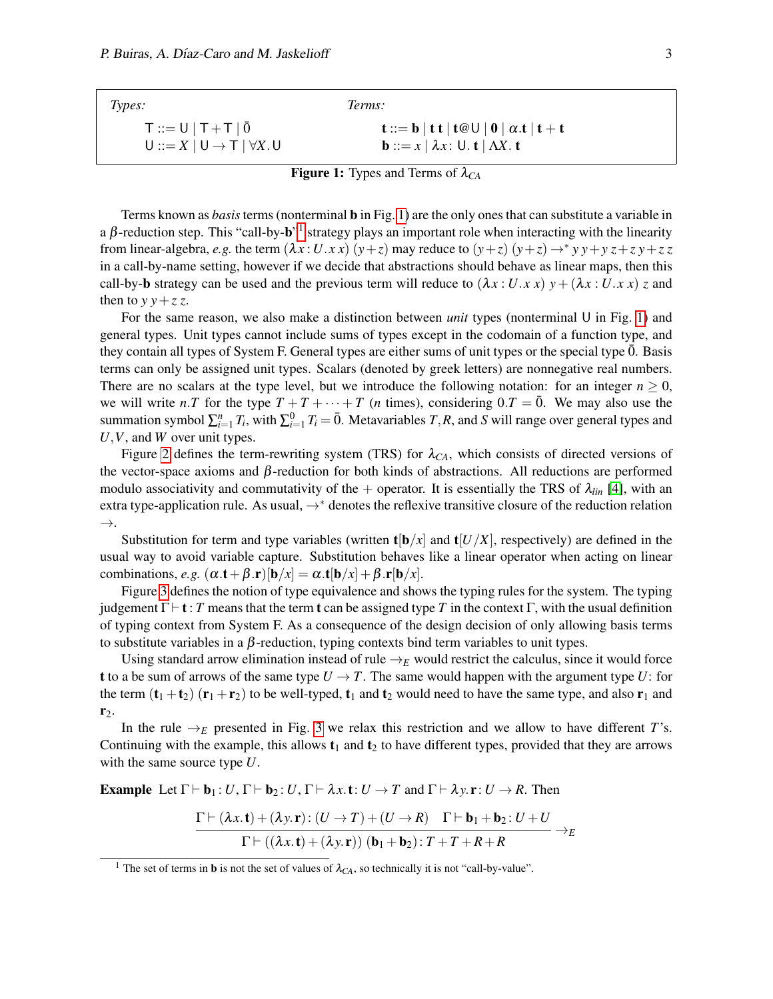<span id="page-2-0"></span>

| Types:                                     | Terms:                                                                                                                                          |
|--------------------------------------------|-------------------------------------------------------------------------------------------------------------------------------------------------|
| $T ::= U   T + T   \overline{0}$           | $\mathbf{t} ::= \mathbf{b}   \mathbf{t} \mathbf{t}   \mathbf{t} \otimes \mathbf{U}   \mathbf{0}   \alpha. \mathbf{t}   \mathbf{t} + \mathbf{t}$ |
| $U ::= X   U \rightarrow T   \forall X. U$ | <b>b</b> ::= $x \mid \lambda x$ : U. <b>t</b>   $\Lambda X$ . <b>t</b>                                                                          |

**Figure 1:** Types and Terms of  $\lambda_{CA}$ 

Terms known as *basis*terms (nonterminal b in Fig. [1\)](#page-2-0) are the only ones that can substitute a variable in a  $\beta$ -reduction step. This "call-by- $b$ " strategy plays an important role when interacting with the linearity from linear-algebra, *e.g.* the term  $(\lambda x : U.x x) (y + z)$  may reduce to  $(y + z) (y + z) \rightarrow^* y y + y z + z y + z z$ in a call-by-name setting, however if we decide that abstractions should behave as linear maps, then this call-by-b strategy can be used and the previous term will reduce to  $(\lambda x : U.x x) y + (\lambda x : U.x x) z$  and then to  $y \, y + z \, z$ .

For the same reason, we also make a distinction between *unit* types (nonterminal U in Fig. [1\)](#page-2-0) and general types. Unit types cannot include sums of types except in the codomain of a function type, and they contain all types of System F. General types are either sums of unit types or the special type  $\bar{0}$ . Basis terms can only be assigned unit types. Scalars (denoted by greek letters) are nonnegative real numbers. There are no scalars at the type level, but we introduce the following notation: for an integer  $n \geq 0$ , we will write *n*.*T* for the type  $T + T + \cdots + T$  (*n* times), considering  $0.T = \overline{0}$ . We may also use the summation symbol  $\sum_{i=1}^{n} T_i$ , with  $\sum_{i=1}^{0} T_i = \overline{0}$ . Metavariables  $T, R$ , and  $S$  will range over general types and *U*,*V*, and *W* over unit types.

Figure [2](#page-3-0) defines the term-rewriting system (TRS) for  $\lambda_{CA}$ , which consists of directed versions of the vector-space axioms and  $β$ -reduction for both kinds of abstractions. All reductions are performed modulo associativity and commutativity of the  $+$  operator. It is essentially the TRS of  $\lambda_{lin}$  [\[4\]](#page-13-0), with an extra type-application rule. As usual, →<sup>∗</sup> denotes the reflexive transitive closure of the reduction relation →.

Substitution for term and type variables (written  $\mathbf{t}[\mathbf{b}/x]$  and  $\mathbf{t}[U/X]$ , respectively) are defined in the usual way to avoid variable capture. Substitution behaves like a linear operator when acting on linear combinations, *e.g.*  $(\alpha \cdot \mathbf{t} + \beta \cdot \mathbf{r})[\mathbf{b}/x] = \alpha \cdot \mathbf{t}[\mathbf{b}/x] + \beta \cdot \mathbf{r}[\mathbf{b}/x]$ .

Figure [3](#page-4-1) defines the notion of type equivalence and shows the typing rules for the system. The typing judgement  $\Gamma \vdash t : T$  means that the term **t** can be assigned type *T* in the context  $\Gamma$ , with the usual definition of typing context from System F. As a consequence of the design decision of only allowing basis terms to substitute variables in a  $\beta$ -reduction, typing contexts bind term variables to unit types.

Using standard arrow elimination instead of rule  $\rightarrow$ *E* would restrict the calculus, since it would force t to a be sum of arrows of the same type  $U \rightarrow T$ . The same would happen with the argument type *U*: for the term  $(t_1 + t_2)$   $(r_1 + r_2)$  to be well-typed,  $t_1$  and  $t_2$  would need to have the same type, and also  $r_1$  and  $r_2$ .

In the rule  $\rightarrow_E$  presented in Fig. [3](#page-4-1) we relax this restriction and we allow to have different *T*'s. Continuing with the example, this allows  $t_1$  and  $t_2$  to have different types, provided that they are arrows with the same source type *U*.

**Example** Let  $\Gamma \vdash b_1 : U, \Gamma \vdash b_2 : U, \Gamma \vdash \lambda x \ldotp t : U \rightarrow T$  and  $\Gamma \vdash \lambda y \ldotp r : U \rightarrow R$ . Then

$$
\frac{\Gamma\vdash (\lambda x.\mathbf{t}) + (\lambda y.\mathbf{r}) : (U \to T) + (U \to R) \quad \Gamma\vdash \mathbf{b}_1 + \mathbf{b}_2 : U + U}{\Gamma\vdash ((\lambda x.\mathbf{t}) + (\lambda y.\mathbf{r})) \quad (\mathbf{b}_1 + \mathbf{b}_2) : T + T + R + R} \to_{E}
$$

<span id="page-2-1"></span><sup>&</sup>lt;sup>1</sup> The set of terms in **b** is not the set of values of  $\lambda_{CA}$ , so technically it is not "call-by-value".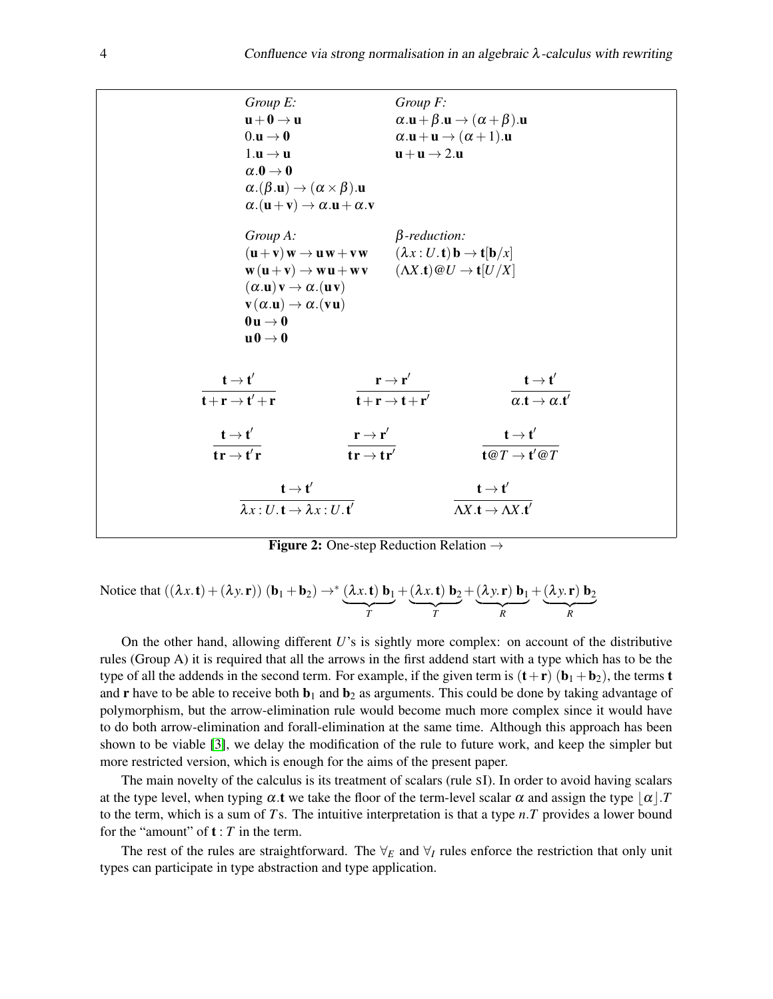<span id="page-3-0"></span>

|                                                                                                           | Group E:<br>$\mathbf{u} + \mathbf{0} \rightarrow \mathbf{u}$<br>$0.\mathbf{u} \rightarrow \mathbf{0}$                                                                                                                                                                                                                                                                                                                                                                                                                                                   | $Group\ F$ :<br>$\alpha \cdot \mathbf{u} + \beta \cdot \mathbf{u} \rightarrow (\alpha + \beta) \cdot \mathbf{u}$<br>$\alpha \cdot \mathbf{u} + \mathbf{u} \rightarrow (\alpha + 1) \cdot \mathbf{u}$ |                                                                                               |
|-----------------------------------------------------------------------------------------------------------|---------------------------------------------------------------------------------------------------------------------------------------------------------------------------------------------------------------------------------------------------------------------------------------------------------------------------------------------------------------------------------------------------------------------------------------------------------------------------------------------------------------------------------------------------------|------------------------------------------------------------------------------------------------------------------------------------------------------------------------------------------------------|-----------------------------------------------------------------------------------------------|
|                                                                                                           | $1.\mathbf{u} \rightarrow \mathbf{u}$<br>$\alpha.0 \rightarrow 0$<br>$\alpha$ .( $\beta$ . <b>u</b> ) $\rightarrow$ ( $\alpha \times \beta$ ). <b>u</b><br>$\alpha$ . $(\mathbf{u} + \mathbf{v}) \rightarrow \alpha$ . $\mathbf{u} + \alpha$ . $\mathbf{v}$                                                                                                                                                                                                                                                                                             | $\mathbf{u} + \mathbf{u} \rightarrow 2. \mathbf{u}$                                                                                                                                                  |                                                                                               |
|                                                                                                           | Group A:<br>$(\mathbf{u} + \mathbf{v}) \mathbf{w} \rightarrow \mathbf{u} \mathbf{w} + \mathbf{v} \mathbf{w}$ $(\lambda x : U. \mathbf{t}) \mathbf{b} \rightarrow \mathbf{t} [\mathbf{b}/x]$<br>$\mathbf{w}(\mathbf{u}+\mathbf{v}) \to \mathbf{w}\mathbf{u} + \mathbf{w}\mathbf{v}$ $(\Lambda X.\mathbf{t}) \textcircled{a} U \to \mathbf{t}[U/X]$<br>$(\alpha.\mathbf{u})\mathbf{v} \rightarrow \alpha.(\mathbf{u}\mathbf{v})$<br>$\mathbf{v}(\alpha.\mathbf{u}) \rightarrow \alpha.(\mathbf{v}\mathbf{u})$<br>$0u \rightarrow 0$<br>$u0 \rightarrow 0$ | $\beta$ -reduction:                                                                                                                                                                                  |                                                                                               |
| $\frac{\mathbf{t} \rightarrow \mathbf{t}'}{\mathbf{t} + \mathbf{r} \rightarrow \mathbf{t}' + \mathbf{r}}$ | $\frac{\mathbf{r} \rightarrow \mathbf{r}'}{\mathbf{t} + \mathbf{r} \rightarrow \mathbf{t} + \mathbf{r}'}$                                                                                                                                                                                                                                                                                                                                                                                                                                               |                                                                                                                                                                                                      | $\frac{\mathbf{t} \rightarrow \mathbf{t}'}{\alpha.\mathbf{t} \rightarrow \alpha.\mathbf{t}'}$ |
| $\frac{\mathbf{t} \rightarrow \mathbf{t}'}{\mathbf{t}\mathbf{r} \rightarrow \mathbf{t}'\mathbf{r}}$       | $\frac{{\bf r}\rightarrow {\bf r}'}{{\bf tr}\rightarrow {\bf tr}'}$                                                                                                                                                                                                                                                                                                                                                                                                                                                                                     |                                                                                                                                                                                                      | $\frac{\mathbf{t} \to \mathbf{t}'}{\mathbf{t} \mathcal{Q} T \to \mathbf{t}' \mathcal{Q} T}$   |
|                                                                                                           | $\frac{\mathbf{t} \rightarrow \mathbf{t}'}{\lambda x: U.\mathbf{t} \rightarrow \lambda x: U.\mathbf{t}'}$                                                                                                                                                                                                                                                                                                                                                                                                                                               | $\frac{\mathbf{t} \to \mathbf{t}'}{\Delta X.\mathbf{t} \to \Delta X.\mathbf{t}'}$                                                                                                                    |                                                                                               |

**Figure 2:** One-step Reduction Relation  $\rightarrow$ 

Notice that 
$$
((\lambda x. \mathbf{t}) + (\lambda y. \mathbf{r})) (\mathbf{b}_1 + \mathbf{b}_2) \rightarrow^* (\lambda x. \mathbf{t}) \mathbf{b}_1 + (\lambda x. \mathbf{t}) \mathbf{b}_2 + (\lambda y. \mathbf{r}) \mathbf{b}_1 + (\lambda y. \mathbf{r}) \mathbf{b}_2
$$
  
 $\frac{r}{r} + (\lambda y. \mathbf{r}) \mathbf{b}_2 + (\lambda y. \mathbf{r}) \mathbf{b}_2$ 

On the other hand, allowing different *U*'s is sightly more complex: on account of the distributive rules (Group A) it is required that all the arrows in the first addend start with a type which has to be the type of all the addends in the second term. For example, if the given term is  $(t+r)$  ( $b_1 + b_2$ ), the terms t and **r** have to be able to receive both  $\mathbf{b}_1$  and  $\mathbf{b}_2$  as arguments. This could be done by taking advantage of polymorphism, but the arrow-elimination rule would become much more complex since it would have to do both arrow-elimination and forall-elimination at the same time. Although this approach has been shown to be viable [\[3\]](#page-12-2), we delay the modification of the rule to future work, and keep the simpler but more restricted version, which is enough for the aims of the present paper.

The main novelty of the calculus is its treatment of scalars (rule SI). In order to avoid having scalars at the type level, when typing  $\alpha$  t we take the floor of the term-level scalar  $\alpha$  and assign the type  $\alpha$ .*T* to the term, which is a sum of *T*s. The intuitive interpretation is that a type *n*.*T* provides a lower bound for the "amount" of  $t : T$  in the term.

The rest of the rules are straightforward. The  $\forall_E$  and  $\forall_I$  rules enforce the restriction that only unit types can participate in type abstraction and type application.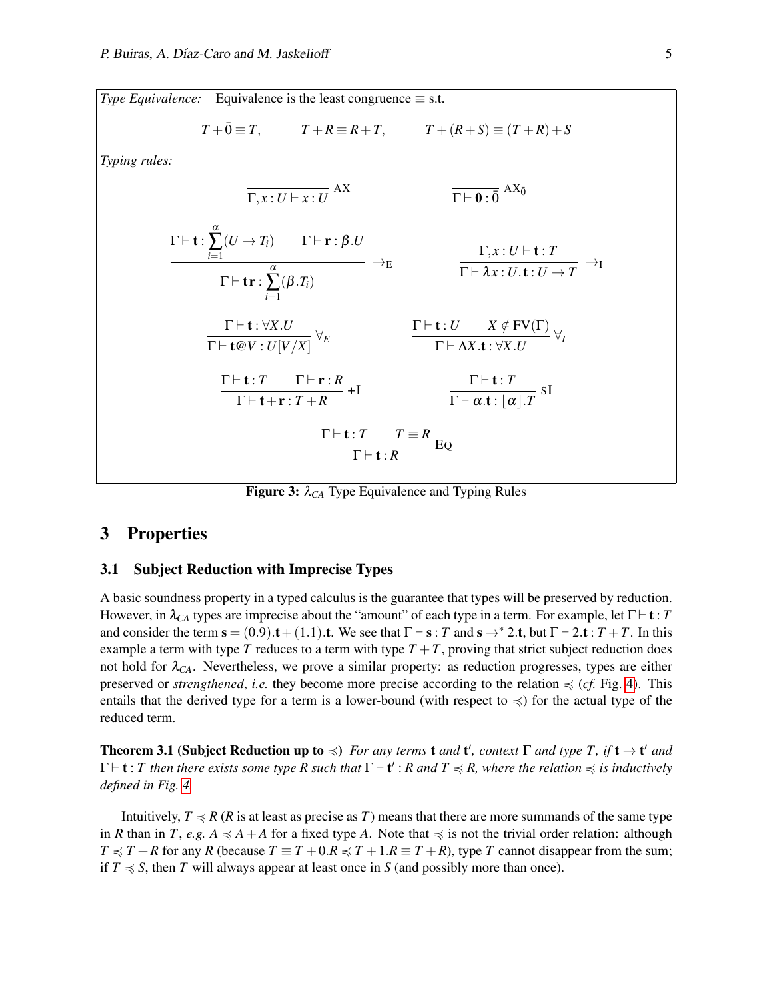<span id="page-4-1"></span>*Type Equivalence:* Equivalence is the least congruence  $\equiv$  s.t.

$$
T + \overline{0} \equiv T, \qquad T + R \equiv R + T, \qquad T + (R + S) \equiv (T + R) + S
$$

*Typing rules:*

$$
\frac{\Gamma \vdash t : \sum_{i=1}^{\alpha} (U \to T_i) \qquad \Gamma \vdash r : \beta.U}{\Gamma \vdash t : \sum_{i=1}^{\alpha} (U \to T_i) \qquad \Gamma \vdash r : \beta.U} \to_{E} \qquad \frac{\Gamma, x : U \vdash t : T}{\Gamma \vdash \lambda x : U . t : U \to T} \to_{I}
$$
\n
$$
\frac{\Gamma \vdash t : \forall X.U}{\Gamma \vdash t \oplus V : U[V/X]} \forall_{E} \qquad \frac{\Gamma \vdash t : U \qquad X \notin FV(\Gamma)}{\Gamma \vdash \lambda X.t : \forall X.U} \forall_{I}
$$
\n
$$
\frac{\Gamma \vdash t : T \qquad \Gamma \vdash r : R}{\Gamma \vdash t + r : T + R} + I \qquad \frac{\Gamma \vdash t : T}{\Gamma \vdash \alpha.t : [\alpha].T} \text{ sI}
$$
\n
$$
\frac{\Gamma \vdash t : T \qquad T \equiv R}{\Gamma \vdash t : R} \text{ EQ}
$$

**Figure 3:**  $\lambda_{CA}$  Type Equivalence and Typing Rules

# <span id="page-4-0"></span>3 Properties

## 3.1 Subject Reduction with Imprecise Types

A basic soundness property in a typed calculus is the guarantee that types will be preserved by reduction. However, in  $\lambda_{CA}$  types are imprecise about the "amount" of each type in a term. For example, let  $\Gamma \vdash t : T$ and consider the term  $s = (0.9) \cdot t + (1.1) \cdot t$ . We see that  $\Gamma \vdash s : T$  and  $s \rightarrow^{*} 2 \cdot t$ , but  $\Gamma \vdash 2 \cdot t : T + T$ . In this example a term with type *T* reduces to a term with type  $T + T$ , proving that strict subject reduction does not hold for  $\lambda_{CA}$ . Nevertheless, we prove a similar property: as reduction progresses, types are either preserved or *strengthened*, *i.e.* they become more precise according to the relation  $\preccurlyeq$  (*cf.* Fig. [4\)](#page-5-0). This entails that the derived type for a term is a lower-bound (with respect to  $\preccurlyeq$ ) for the actual type of the reduced term.

<span id="page-4-2"></span>**Theorem 3.1 (Subject Reduction up to**  $\preccurlyeq$ ) *For any terms* **t** and **t'**, context  $\Gamma$  and type  $T$ , if **t**  $\rightarrow$  **t'** and  $\Gamma \vdash t : T$  then there exists some type R such that  $\Gamma \vdash t' : R$  and  $T \preccurlyeq R$ , where the relation  $\preccurlyeq$  is inductively *defined in Fig. [4.](#page-5-0)*

Intuitively,  $T \preccurlyeq R$  (*R* is at least as precise as *T*) means that there are more summands of the same type in *R* than in *T*, *e.g.*  $A \preceq A + A$  for a fixed type *A*. Note that  $\preceq$  is not the trivial order relation: although  $T \preccurlyeq T + R$  for any *R* (because  $T \equiv T + 0.R \preccurlyeq T + 1.R \equiv T + R$ ), type *T* cannot disappear from the sum; if  $T \le S$ , then *T* will always appear at least once in *S* (and possibly more than once).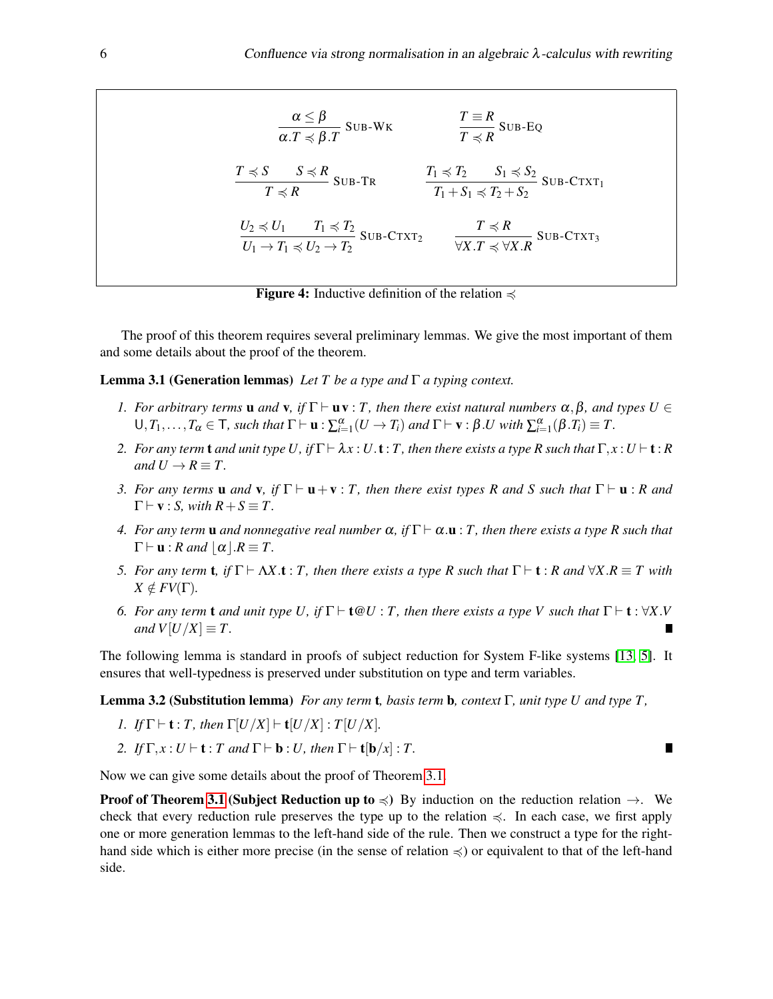$$
\frac{\alpha \leq \beta}{\alpha \cdot T \preccurlyeq \beta \cdot T} \text{SUB-WK} \qquad \qquad \frac{T \equiv R}{T \preccurlyeq R} \text{SUB-EQ}
$$
\n
$$
\frac{T \preccurlyeq S}{T \preccurlyeq R} \text{SUB-TR} \qquad \qquad \frac{T_1 \preccurlyeq T_2}{T_1 + S_1 \preccurlyeq T_2 + S_2} \text{SUB-CTXT}_1
$$
\n
$$
\frac{U_2 \preccurlyeq U_1 \qquad T_1 \preccurlyeq T_2}{U_1 \rightarrow T_1 \preccurlyeq U_2 \rightarrow T_2} \text{SUB-CTXT}_2 \qquad \qquad \frac{T \preccurlyeq R}{\forall X. T \preccurlyeq \forall X. R} \text{SUB-CTXT}_3
$$

<span id="page-5-0"></span>**Figure 4:** Inductive definition of the relation  $\preccurlyeq$ 

The proof of this theorem requires several preliminary lemmas. We give the most important of them and some details about the proof of the theorem.

<span id="page-5-1"></span>Lemma 3.1 (Generation lemmas) *Let T be a type and* Γ *a typing context.*

- *1.* For arbitrary terms **u** and **v**, if  $\Gamma \vdash uv : T$ , then there exist natural numbers  $\alpha, \beta$ , and types  $U \in$  $\bigcup_{i=1}^{\infty}$ ,  $T_1, \ldots, T_\alpha \in \mathsf{T}$ , such that  $\Gamma \vdash \mathbf{u} : \sum_{i=1}^{\alpha} (U \to T_i)$  and  $\Gamma \vdash \mathbf{v} : \beta \ldotp U$  with  $\sum_{i=1}^{\alpha} (\beta \ldotp T_i) \equiv T$ .
- *2. For any term* **t** *and unit type U, if*  $\Gamma \vdash \lambda x : U \cdot t : T$ *, then there exists a type R such that*  $\Gamma, x : U \vdash t : R$ *and*  $U \rightarrow R \equiv T$ .
- <span id="page-5-2"></span>*3. For any terms* **u** *and* **v**, *if*  $\Gamma \vdash$ **u** + **v** : *T*, *then there exist types R and S such that*  $\Gamma \vdash$ **u** : *R and*  $\Gamma \vdash v : S$ , with  $R + S \equiv T$ .
- <span id="page-5-3"></span>*4. For any term* **u** *and nonnegative real number*  $\alpha$ , *if*  $\Gamma \vdash \alpha \cdot \mathbf{u}$  : *T*, *then there exists a type R such that*  $\Gamma \vdash u : R \text{ and } |\alpha| \ldotp R \equiv T.$
- *5. For any term* **t**, if  $\Gamma \vdash \Delta X$ .**t** : *T*, then there exists a type R such that  $\Gamma \vdash$  **t** : *R and*  $\forall X.R \equiv T$  with  $X \notin FV(\Gamma)$ .
- *6.* For any term **t** and unit type U, if  $\Gamma \vdash \mathbf{t} \mathbb{Q} U$  : *T*, then there exists a type V such that  $\Gamma \vdash \mathbf{t} : \forall X. V$ *and*  $V[U/X] \equiv T$ .

The following lemma is standard in proofs of subject reduction for System F-like systems [\[13,](#page-13-14) [5\]](#page-13-15). It ensures that well-typedness is preserved under substitution on type and term variables.

П

Lemma 3.2 (Substitution lemma) *For any term* t*, basis term* b*, context* Γ*, unit type U and type T ,*

- *1. If*  $\Gamma$   $\vdash$  **t** : *T*, *then*  $\Gamma$  $\left[\frac{U}{X}\right]$   $\vdash$  **t** $\left[\frac{U}{X}\right]$  : *T* $\left[\frac{U}{X}\right]$ *.*
- *2. If*  $\Gamma$ *, x* : *U*  $\vdash$  **t** : *T and*  $\Gamma$  $\vdash$  **b** : *U, then*  $\Gamma$  $\vdash$  **t**[**b**/*x*] : *T.*

Now we can give some details about the proof of Theorem [3.1.](#page-4-2)

**Proof of Theorem [3.1](#page-4-2) (Subject Reduction up to**  $\preccurlyeq$ ) By induction on the reduction relation  $\rightarrow$ . We check that every reduction rule preserves the type up to the relation  $\leq$ . In each case, we first apply one or more generation lemmas to the left-hand side of the rule. Then we construct a type for the righthand side which is either more precise (in the sense of relation  $\preccurlyeq$ ) or equivalent to that of the left-hand side.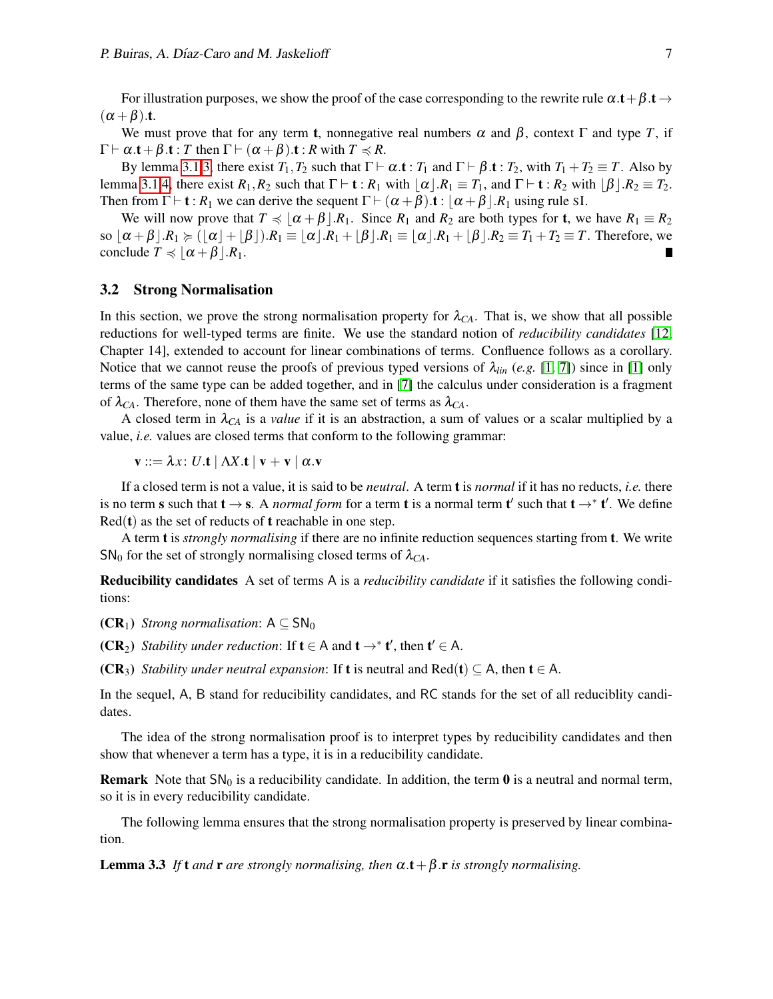For illustration purposes, we show the proof of the case corresponding to the rewrite rule  $\alpha$ .t +  $\beta$ .t  $\rightarrow$  $(\alpha + \beta)$ .t.

We must prove that for any term **t**, nonnegative real numbers  $\alpha$  and  $\beta$ , context  $\Gamma$  and type *T*, if  $\Gamma \vdash \alpha \cdot t + \beta \cdot t : T$  then  $\Gamma \vdash (\alpha + \beta) \cdot t : R$  with  $T \preccurlyeq R$ .

By lemma [3.1.](#page-5-1)[3,](#page-5-2) there exist  $T_1, T_2$  such that  $\Gamma \vdash \alpha \cdot t : T_1$  and  $\Gamma \vdash \beta \cdot t : T_2$ , with  $T_1 + T_2 \equiv T$ . Also by lemma [3.1](#page-5-1)[.4,](#page-5-3) there exist  $R_1, R_2$  such that  $\Gamma \vdash t : R_1$  with  $\alpha | R_1 \equiv T_1$ , and  $\Gamma \vdash t : R_2$  with  $\beta | R_2 \equiv T_2$ . Then from  $\Gamma \vdash t : R_1$  we can derive the sequent  $\Gamma \vdash (\alpha + \beta).t : |\alpha + \beta|R_1$  using rule SI.

We will now prove that  $T \preccurlyeq |\alpha + \beta| R_1$ . Since  $R_1$  and  $R_2$  are both types for **t**, we have  $R_1 \equiv R_2$ so  $\alpha + \beta | R_1 \succcurlyeq (\alpha + \beta)$ . $R_1 \equiv |\alpha| R_1 + |\beta| R_2 \equiv |\alpha| R_1 + |\beta| R_2 \equiv T_1 + T_2 \equiv T$ . Therefore, we conclude  $T \preccurlyeq \lfloor \alpha + \beta \rfloor R_1$ .

#### 3.2 Strong Normalisation

In this section, we prove the strong normalisation property for  $\lambda_{CA}$ . That is, we show that all possible reductions for well-typed terms are finite. We use the standard notion of *reducibility candidates* [\[12,](#page-13-16) Chapter 14], extended to account for linear combinations of terms. Confluence follows as a corollary. Notice that we cannot reuse the proofs of previous typed versions of  $\lambda_{lin}$  (*e.g.* [\[1,](#page-12-0) [7\]](#page-13-4)) since in [\[1\]](#page-12-0) only terms of the same type can be added together, and in [\[7\]](#page-13-4) the calculus under consideration is a fragment of  $\lambda_{CA}$ . Therefore, none of them have the same set of terms as  $\lambda_{CA}$ .

A closed term in  $\lambda_{CA}$  is a *value* if it is an abstraction, a sum of values or a scalar multiplied by a value, *i.e.* values are closed terms that conform to the following grammar:

 $\mathbf{v} ::= \lambda x$ : *U*.t |  $\Lambda X$ .t |  $\mathbf{v} + \mathbf{v}$  |  $\alpha$ .v

If a closed term is not a value, it is said to be *neutral*. A term t is *normal* if it has no reducts, *i.e.* there is no term s such that  $t \to s$ . A *normal form* for a term t is a normal term t' such that  $t \to^* t'$ . We define  $Red(t)$  as the set of reducts of **t** reachable in one step.

A term t is *strongly normalising* if there are no infinite reduction sequences starting from t. We write SN<sub>0</sub> for the set of strongly normalising closed terms of  $\lambda_{CA}$ .

Reducibility candidates A set of terms A is a *reducibility candidate* if it satisfies the following conditions:

(CR<sub>1</sub>) *Strong normalisation*:  $A \subseteq SN_0$ 

(CR<sub>2</sub>) *Stability under reduction*: If  $t \in A$  and  $t \rightarrow^* t'$ , then  $t' \in A$ .

(CR<sub>3</sub>) *Stability under neutral expansion*: If **t** is neutral and Red(**t**)  $\subset$  A, then **t**  $\in$  A.

In the sequel, A, B stand for reducibility candidates, and RC stands for the set of all reduciblity candidates.

The idea of the strong normalisation proof is to interpret types by reducibility candidates and then show that whenever a term has a type, it is in a reducibility candidate.

**Remark** Note that  $SN_0$  is a reducibility candidate. In addition, the term 0 is a neutral and normal term, so it is in every reducibility candidate.

The following lemma ensures that the strong normalisation property is preserved by linear combination.

<span id="page-6-0"></span>**Lemma 3.3** *If* **t** *and* **r** *are strongly normalising, then*  $\alpha$ .**t** +  $\beta$ .**r** *is strongly normalising.*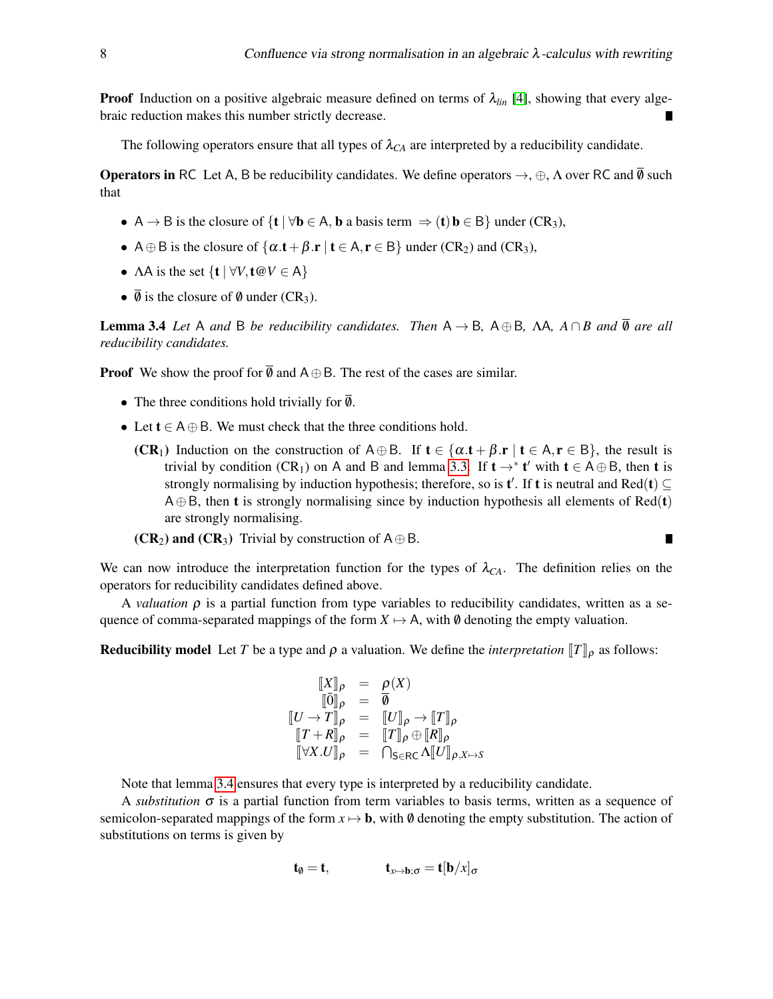**Proof** Induction on a positive algebraic measure defined on terms of  $\lambda_{lin}$  [\[4\]](#page-13-0), showing that every algebraic reduction makes this number strictly decrease.

The following operators ensure that all types of  $\lambda_{CA}$  are interpreted by a reducibility candidate.

**Operators in** RC Let A, B be reducibility candidates. We define operators  $\rightarrow$ ,  $\oplus$ ,  $\Lambda$  over RC and  $\overline{\emptyset}$  such that

- A  $\rightarrow$  B is the closure of  $\{t \mid \forall b \in A, b \text{ a basis term } \Rightarrow (t) b \in B\}$  under  $(CR_3)$ ,
- A  $\oplus$  B is the closure of  $\{\alpha.t + \beta.r \mid t \in A, r \in B\}$  under  $(CR_2)$  and  $(CR_3)$ ,
- $\triangle A$  is the set  $\{t \mid \forall V, t \, \text{ or } V \in A\}$
- $\overline{\emptyset}$  is the closure of  $\emptyset$  under (CR<sub>3</sub>).

<span id="page-7-0"></span>**Lemma 3.4** *Let* A *and* B *be reducibility candidates. Then*  $A \rightarrow B$ ,  $A \oplus B$ ,  $\Lambda A$ ,  $A \cap B$  *and*  $\overline{\emptyset}$  *are all reducibility candidates.*

**Proof** We show the proof for  $\overline{\emptyset}$  and A $\oplus$  B. The rest of the cases are similar.

- The three conditions hold trivially for  $\overline{\emptyset}$ .
- Let  $t \in A \oplus B$ . We must check that the three conditions hold.
	- (CR<sub>1</sub>) Induction on the construction of A⊕B. If  $t \in \{\alpha \cdot t + \beta \cdot r \mid t \in A, r \in B\}$ , the result is trivial by condition (CR<sub>1</sub>) on A and B and lemma [3.3.](#page-6-0) If  $t \rightarrow^* t'$  with  $t \in A \oplus B$ , then t is strongly normalising by induction hypothesis; therefore, so is  $t'$ . If t is neutral and Red(t)  $\subseteq$  $A \oplus B$ , then **t** is strongly normalising since by induction hypothesis all elements of Red(**t**) are strongly normalising.

(CR<sub>2</sub>) and (CR<sub>3</sub>) Trivial by construction of  $A \oplus B$ .

We can now introduce the interpretation function for the types of  $\lambda_{CA}$ . The definition relies on the operators for reducibility candidates defined above.

A *valuation*  $\rho$  is a partial function from type variables to reducibility candidates, written as a sequence of comma-separated mappings of the form  $X \mapsto A$ , with  $\emptyset$  denoting the empty valuation.

**Reducibility model** Let *T* be a type and  $\rho$  a valuation. We define the *interpretation*  $T\|_{\rho}$  as follows:

$$
\begin{array}{rcl}\n\llbracket X \rrbracket_{\rho} & = & \rho(X) \\
\llbracket \bar{0} \rrbracket_{\rho} & = & \overline{\theta} \\
\llbracket U \to T \rrbracket_{\rho} & = & \llbracket U \rrbracket_{\rho} \to \llbracket T \rrbracket_{\rho} \\
\llbracket T + R \rrbracket_{\rho} & = & \llbracket T \rrbracket_{\rho} \oplus \llbracket R \rrbracket_{\rho} \\
\llbracket \forall X. U \rrbracket_{\rho} & = & \ulcorner \text{Tr} \mathbb{E}_{\rho} \in \text{R} \end{array}
$$

Note that lemma [3.4](#page-7-0) ensures that every type is interpreted by a reducibility candidate.

A *substitution*  $\sigma$  is a partial function from term variables to basis terms, written as a sequence of semicolon-separated mappings of the form  $x \mapsto b$ , with  $\emptyset$  denoting the empty substitution. The action of substitutions on terms is given by

$$
\mathbf{t}_{\emptyset} = \mathbf{t}, \qquad \qquad \mathbf{t}_{x \mapsto \mathbf{b}; \sigma} = \mathbf{t}[\mathbf{b}/x]_{\sigma}
$$

$$
\blacksquare
$$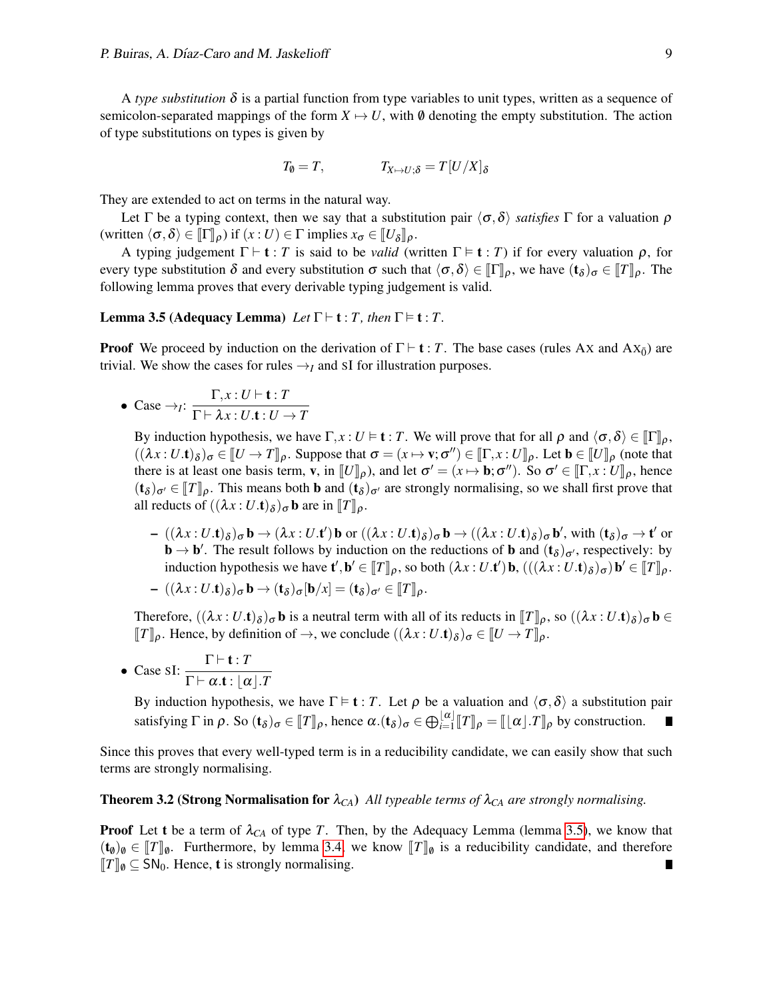A *type substitution*  $\delta$  is a partial function from type variables to unit types, written as a sequence of semicolon-separated mappings of the form  $X \mapsto U$ , with  $\emptyset$  denoting the empty substitution. The action of type substitutions on types is given by

$$
T_{\emptyset} = T, \qquad T_{X \mapsto U; \delta} = T[U/X]_{\delta}
$$

They are extended to act on terms in the natural way.

Let  $\Gamma$  be a typing context, then we say that a substitution pair  $\langle \sigma, \delta \rangle$  *satisfies*  $\Gamma$  for a valuation  $\rho$ (written  $\langle \sigma, \delta \rangle \in [\![\Gamma]\!]_{\rho}$ ) if  $(x : U) \in \Gamma$  implies  $x_{\sigma} \in [\![U_{\delta}]\!]_{\rho}$ .

A typing judgement  $\Gamma \vdash t : T$  is said to be *valid* (written  $\Gamma \models t : T$ ) if for every valuation  $\rho$ , for every type substitution  $\delta$  and every substitution  $\sigma$  such that  $\langle \sigma, \delta \rangle \in [\![\Gamma]\!]_p$ , we have  $(\mathbf{t}_{\delta})_{\sigma} \in [\![T]\!]_p$ . The following lamma proves that every derivable typing independent is valid following lemma proves that every derivable typing judgement is valid.

## <span id="page-8-0"></span>**Lemma 3.5 (Adequacy Lemma)** *Let*  $\Gamma \vdash t : T$ *, then*  $\Gamma \models t : T$ *.*

**Proof** We proceed by induction on the derivation of  $\Gamma \vdash t : T$ . The base cases (rules Ax and Ax<sub>0</sub>̄) are trivial. We show the cases for rules  $\rightarrow$ <sub>*I*</sub> and SI for illustration purposes.

• Case 
$$
\rightarrow
$$
<sub>*I*</sub>:  $\frac{\Gamma, x : U \vdash \mathbf{t} : T}{\Gamma \vdash \lambda x : U.\mathbf{t} : U \rightarrow T}$ 

By induction hypothesis, we have  $\Gamma, x : U \models t : T$ . We will prove that for all  $\rho$  and  $\langle \sigma, \delta \rangle \in \llbracket \Gamma \rrbracket_{\rho}$ ,  $((\lambda x : U \cdot t)_{\delta})_{\sigma} \in [U \to T]_{\rho}$ . Suppose that  $\sigma = (x \mapsto v; \sigma'') \in [\Gamma, x : U]_{\rho}$ . Let  $\mathbf{b} \in [U]_{\rho}$  (note that there is at least one hesis term  $x$  in  $[[U]]_{\rho}$ ) and let  $\sigma' = (x \mapsto \mathbf{b}; \sigma'')$ . So  $\sigma' \in [\Gamma, x : U]_{\rho}$  hence there is at least one basis term, **v**, in  $[[U]]\rho$ ), and let  $\sigma' = (x \mapsto \mathbf{b}; \sigma'')$ . So  $\sigma' \in [[\Gamma, x : U]]\rho$ , hence  $(t \mapsto \sigma'']$ . This means both **b** and  $(t \mapsto \sigma'')$  are strengly normalising, so we shall first prove that  $(\mathbf{t}_{\delta})_{\sigma} \in [T]_{\rho}$ . This means both **b** and  $(\mathbf{t}_{\delta})_{\sigma}$  are strongly normalising, so we shall first prove that all reducts of  $((\lambda x \cdot U)^*)$ . all reducts of  $((\lambda x:U.\mathbf{t})_{\delta})_{\sigma}\mathbf{b}$  are in  $[\![T]\!]_{\rho}$ .

 $-((\lambda x:U.\mathbf{t})_{\delta})_{\sigma}\mathbf{b} \rightarrow (\lambda x:U.\mathbf{t}')\mathbf{b}$  or  $((\lambda x:U.\mathbf{t})_{\delta})_{\sigma}\mathbf{b} \rightarrow ((\lambda x:U.\mathbf{t})_{\delta})_{\sigma}\mathbf{b}',$  with  $(\mathbf{t}_{\delta})_{\sigma} \rightarrow \mathbf{t}'$  or  $\mathbf{b} \to \mathbf{b}'$ . The result follows by induction on the reductions of **b** and  $(\mathbf{t}_{\delta})_{\sigma'}$ , respectively: by induction hypothesis we have  $\mathbf{t}', \mathbf{b}' \in [\![T]\!]_{\rho}$ , so both  $(\lambda x : U.\mathbf{t}') \mathbf{b}, (((\lambda x : U.\mathbf{t})_{\delta})_{\sigma}) \mathbf{b}' \in [\![T]\!]_{\rho}$ .

$$
- ((\lambda x : U.\mathbf{t})_{\delta})_{\sigma} \mathbf{b} \rightarrow (\mathbf{t}_{\delta})_{\sigma} [\mathbf{b}/x] = (\mathbf{t}_{\delta})_{\sigma'} \in [\![T]\!]_{\rho}.
$$

Therefore,  $((\lambda x : U.\mathbf{t})_{\delta})_{\sigma} \mathbf{b}$  is a neutral term with all of its reducts in  $[\![T]\!]_{\rho}$ , so  $((\lambda x : U.\mathbf{t})_{\delta})_{\sigma} \mathbf{b} \in$ <br> $[\![T]\!]$  Hance by definition of  $\lambda$  we conclude  $((\lambda x : U.\mathbf{t})_{\delta})_{\sigma}$   $[\![T]\!]_{\rho}$ , so  $(($  $[[T]]\rho$ . Hence, by definition of  $\rightarrow$ , we conclude  $((\lambda x : U.\mathbf{t})_{\delta})_{\sigma} \in [[U \to T]]\rho$ .

• Case sI:  $\frac{\Gamma \vdash t : T}{\Gamma \vdash t : T}$  $\Gamma \vdash \alpha .\textbf{t} : \lfloor \alpha \rfloor .T$ 

> By induction hypothesis, we have  $\Gamma \models t : T$ . Let *ρ* be a valuation and  $\langle \sigma, \delta \rangle$  a substitution pair satisfying  $\Gamma$  in  $\rho$ . So  $(\mathbf{t}_{\delta})_{\sigma} \in [\![T]\!]_{\rho}$ , hence  $\alpha.(\mathbf{t}_{\delta})_{\sigma} \in \bigoplus_{i=1}^{[\![\alpha]\!]} [\![T]\!]_{\rho} = [\![\![\alpha]\!].T]\!]_{\rho}$  by construction.

Since this proves that every well-typed term is in a reducibility candidate, we can easily show that such terms are strongly normalising.

## <span id="page-8-1"></span>**Theorem 3.2 (Strong Normalisation for**  $\lambda_{CA}$ ) *All typeable terms of*  $\lambda_{CA}$  *are strongly normalising.*

**Proof** Let t be a term of  $\lambda_{CA}$  of type *T*. Then, by the Adequacy Lemma (lemma [3.5\)](#page-8-0), we know that  $(\mathbf{t}_{\emptyset})_{\emptyset} \in [\![T]\!]_{\emptyset}$ . Furthermore, by lemma [3.4,](#page-7-0) we know  $[\![T]\!]_{\emptyset}$  is a reducibility candidate, and therefore  $[\![T]\!]_{\emptyset} \subseteq \text{SN}_0$ . Hence, **t** is strongly normalising.  $\llbracket T \rrbracket$ <sub>0</sub> ⊆ SN<sub>0</sub>. Hence, **t** is strongly normalising.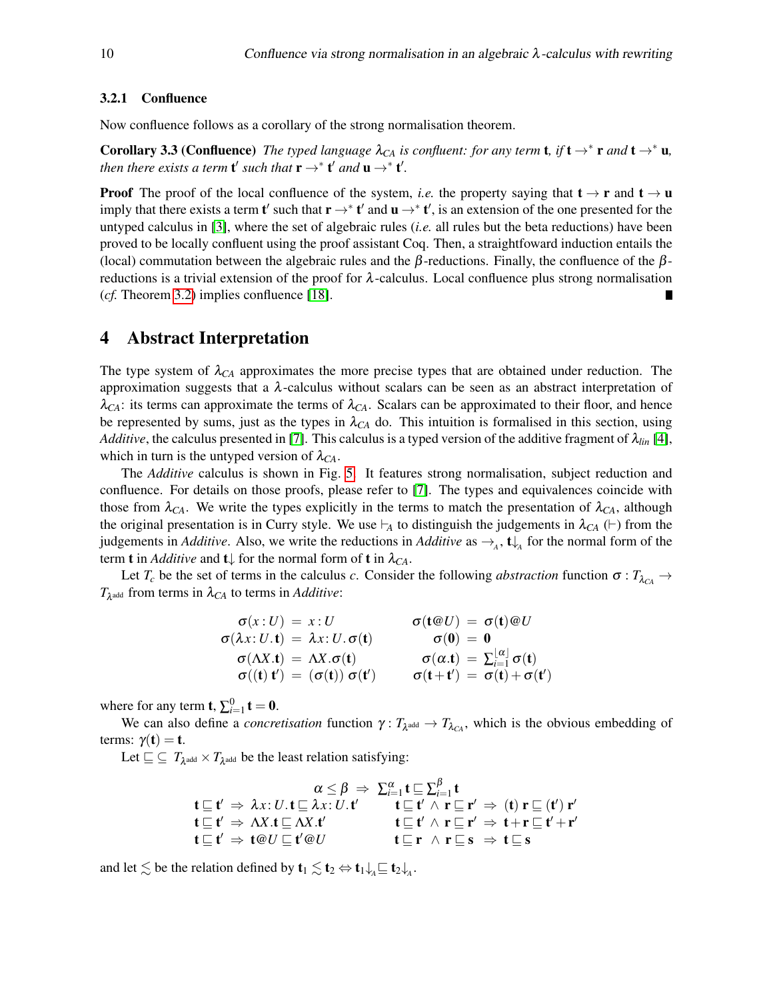#### 3.2.1 Confluence

Now confluence follows as a corollary of the strong normalisation theorem.

**Corollary 3.3 (Confluence)** The typed language  $\lambda_{CA}$  is confluent: for any term **t**, if **t**  $\rightarrow^*$  **r** and **t**  $\rightarrow^*$  **u**, *then there exists a term* **t'** *such that*  $\mathbf{r} \rightarrow^* \mathbf{t}'$  *and*  $\mathbf{u} \rightarrow^* \mathbf{t}'$ *.* 

**Proof** The proof of the local confluence of the system, *i.e.* the property saying that  $t \rightarrow r$  and  $t \rightarrow u$ imply that there exists a term **t'** such that  $\mathbf{r} \to^* \mathbf{t}'$  and  $\mathbf{u} \to^* \mathbf{t}'$ , is an extension of the one presented for the untyped calculus in [\[3\]](#page-12-2), where the set of algebraic rules (*i.e.* all rules but the beta reductions) have been proved to be locally confluent using the proof assistant Coq. Then, a straightfoward induction entails the (local) commutation between the algebraic rules and the  $\beta$ -reductions. Finally, the confluence of the  $\beta$ reductions is a trivial extension of the proof for  $\lambda$ -calculus. Local confluence plus strong normalisation (*cf.* Theorem [3.2\)](#page-8-1) implies confluence [\[18\]](#page-13-12).

# <span id="page-9-0"></span>4 Abstract Interpretation

The type system of  $\lambda_{CA}$  approximates the more precise types that are obtained under reduction. The approximation suggests that a  $\lambda$ -calculus without scalars can be seen as an abstract interpretation of  $\lambda_{CA}$ : its terms can approximate the terms of  $\lambda_{CA}$ . Scalars can be approximated to their floor, and hence be represented by sums, just as the types in  $\lambda_{CA}$  do. This intuition is formalised in this section, using *Additive*, the calculus presented in [\[7\]](#page-13-4). This calculus is a typed version of the additive fragment of λ*lin* [\[4\]](#page-13-0), which in turn is the untyped version of  $\lambda_{CA}$ .

The *Additive* calculus is shown in Fig. [5.](#page-10-0) It features strong normalisation, subject reduction and confluence. For details on those proofs, please refer to [\[7\]](#page-13-4). The types and equivalences coincide with those from  $\lambda_{CA}$ . We write the types explicitly in the terms to match the presentation of  $\lambda_{CA}$ , although the original presentation is in Curry style. We use  $\vdash$ <sub>A</sub> to distinguish the judgements in  $\lambda_{CA}$  ( $\vdash$ ) from the judgements in *Additive*. Also, we write the reductions in *Additive* as  $\rightarrow_A$ ,  $\mathbf{t}\downarrow$  for the normal form of the term **t** in *Additive* and **t** $\downarrow$  for the normal form of **t** in  $\lambda_{CA}$ .

Let  $T_c$  be the set of terms in the calculus *c*. Consider the following *abstraction* function  $\sigma : T_{\lambda_{C_A}} \to$  $T_{\lambda^{\text{add}}}$  from terms in  $\lambda_{CA}$  to terms in *Additive*:

$$
\begin{array}{ll}\n\sigma(x:U) = x:U & \sigma(t@U) = \sigma(t)@U \\
\sigma(\lambda x:U.\mathbf{t}) = \lambda x:U.\sigma(\mathbf{t}) & \sigma(\mathbf{0}) = \mathbf{0} \\
\sigma(\Delta X.\mathbf{t}) = \Delta X.\sigma(\mathbf{t}) & \sigma(\alpha.\mathbf{t}) = \sum_{i=1}^{\lfloor \alpha \rfloor} \sigma(\mathbf{t}) \\
\sigma((\mathbf{t}) \mathbf{t}') = (\sigma(\mathbf{t})) \sigma(\mathbf{t}') & \sigma(\mathbf{t} + \mathbf{t}') = \sigma(\mathbf{t}) + \sigma(\mathbf{t}')\n\end{array}
$$

where for any term **t**,  $\sum_{i=1}^{0}$  **t** = **0**.

We can also define a *concretisation* function  $\gamma: T_{\lambda^{add}} \to T_{\lambda_{CA}}$ , which is the obvious embedding of terms:  $\gamma(t) = t$ .

Let  $\sqsubseteq \subseteq T_{\lambda^{\text{add}}} \times T_{\lambda^{\text{add}}}$  be the least relation satisfying:

$$
\alpha \leq \beta \Rightarrow \sum_{i=1}^{\alpha} t \subseteq \sum_{i=1}^{\beta} t
$$
\n
$$
\mathbf{t} \sqsubseteq \mathbf{t}' \Rightarrow \lambda x : U. \mathbf{t} \sqsubseteq \lambda x : U. \mathbf{t}' \qquad \mathbf{t} \sqsubseteq \mathbf{t}' \land \mathbf{r} \sqsubseteq \mathbf{r}' \Rightarrow (\mathbf{t}) \mathbf{r} \sqsubseteq (\mathbf{t}') \mathbf{r}'
$$
\n
$$
\mathbf{t} \sqsubseteq \mathbf{t}' \Rightarrow \Lambda X. \mathbf{t} \sqsubseteq \Lambda X. \mathbf{t}' \qquad \mathbf{t} \sqsubseteq \mathbf{t}' \land \mathbf{r} \sqsubseteq \mathbf{r}' \Rightarrow \mathbf{t} + \mathbf{r} \sqsubseteq \mathbf{t}' + \mathbf{r}'
$$
\n
$$
\mathbf{t} \sqsubseteq \mathbf{t}' \Rightarrow \mathbf{t} \otimes U \sqsubseteq \mathbf{t}' \otimes U \qquad \mathbf{t} \sqsubseteq \mathbf{r} \land \mathbf{r} \sqsubseteq \mathbf{s} \Rightarrow \mathbf{t} \sqsubseteq \mathbf{s}
$$

and let  $\lesssim$  be the relation defined by  $\mathbf{t}_1 \lesssim \mathbf{t}_2 \Leftrightarrow \mathbf{t}_1 \downarrow_A \sqsubseteq \mathbf{t}_2 \downarrow_A$ .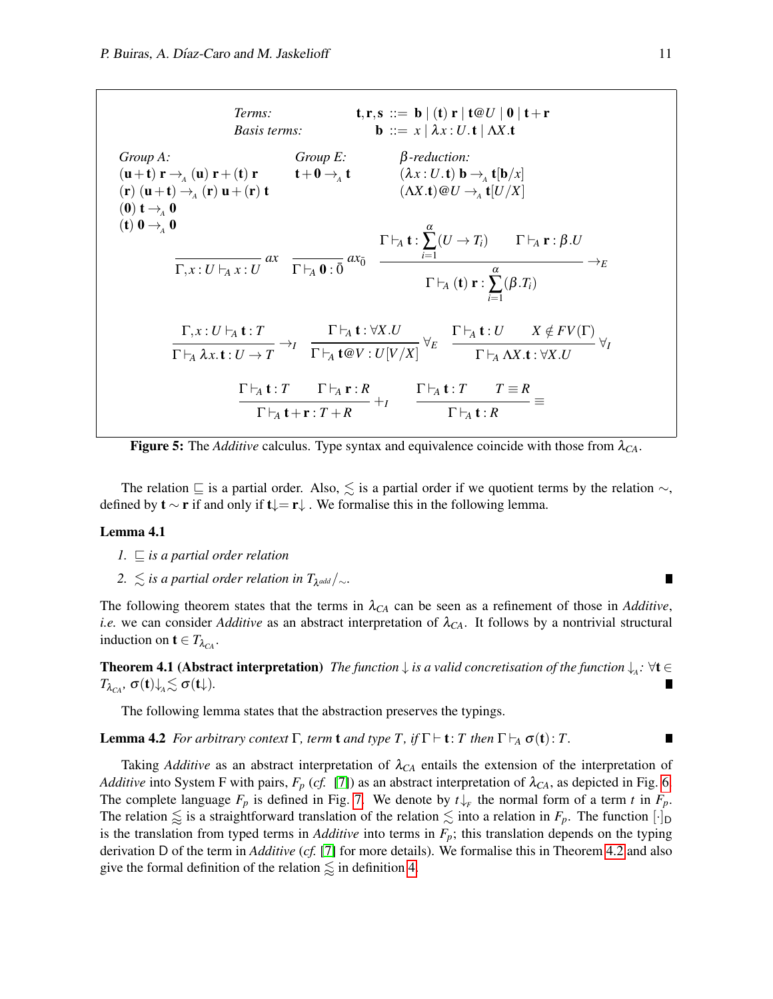<span id="page-10-0"></span>*Terms:*  $\mathbf{t}, \mathbf{r}, \mathbf{s} ::= \mathbf{b} | (\mathbf{t}) \mathbf{r} | \mathbf{t} \otimes U | \mathbf{0} | \mathbf{t} + \mathbf{r}$ *Basis terms:* **b** ::=  $x | \lambda x : U \cdot t | \Delta X \cdot t$ *Group A:*  $(\mathbf{u}+\mathbf{t})\mathbf{r} \rightarrow_A (\mathbf{u})\mathbf{r}+(\mathbf{t})\mathbf{r}$  $(\mathbf{r}) (\mathbf{u}+\mathbf{t}) \rightarrow_A (\mathbf{r}) \mathbf{u}+(\mathbf{r}) \mathbf{t}$  $(\mathbf{r})\mathbf{u}+(\mathbf{r})\mathbf{t}$  $(0)$  t  $\rightarrow$ <sub>A</sub> 0 (t)  $\mathbf{0} \rightarrow_A \mathbf{0}$ *Group E:*  $t+0 \rightarrow A^+$ β*-reduction:*  $(\lambda x: U.\mathbf{t}) \mathbf{b} \rightarrow_A \mathbf{t}[\mathbf{b}/x]$  $(\Lambda X.t) @U \rightarrow_A^{} t [U/X]$ *ax*  $\overline{\Gamma, x : U \vdash_A x : U}$  ax  $\overline{\Gamma \vdash_A 0 : \overline{0}}$  ax<sub>0</sub>  $\Gamma \vdash_A^{} \mathbf{t}$  :  $\alpha$ ∑ *i*=1  $(U \to T_i)$   $\Gamma \vdash_A \mathbf{r} : \beta.U$  $\rightarrow$ *E*  $\Gamma \vdash_A (\mathbf{t}) \mathbf{r}$  :  $\alpha$ ∑ *i*=1  $(\beta.T_i)$  $\Gamma, x : U \vdash_A \mathbf{t} : T$  $\rightarrow$ *I*  $\Gamma \vdash_A \lambda x.\textbf{t}: U \to T$  $\Gamma\vdash_{\!A} \mathbf{t}$  :  $\forall X.U$ ∀*E*  $\Gamma \vdash_A \mathbf{t} @V: U[V/X]$  $\Gamma \vdash_A \mathbf{t} : U \qquad X \notin FV(\Gamma)$ ∀*I*  $\Gamma \vdash_A \Lambda X$ .**t** : ∀*X.U*  $\Gamma \vdash_A \mathbf{t} : T$   $\Gamma \vdash_A \mathbf{r} : R$ +*I*  $\Gamma \vdash_A \mathbf{t}+\mathbf{r} : T+R$  $\Gamma \vdash_A \mathbf{t} : T$   $T \equiv R$ ≡  $\Gamma \vdash_A^{} \mathbf{t}$  :  $R$ 

**Figure 5:** The *Additive* calculus. Type syntax and equivalence coincide with those from  $\lambda_{CA}$ .

The relation  $\subseteq$  is a partial order. Also,  $\leq$  is a partial order if we quotient terms by the relation  $\sim$ , defined by  $\mathbf{t} \sim \mathbf{r}$  if and only if  $\mathbf{t} \downarrow = \mathbf{r} \downarrow$ . We formalise this in the following lemma.

#### Lemma 4.1

- $1. \n\subseteq$  *is a partial order relation*
- $2.$   $\leq$  *is a partial order relation in T*<sub>λ<sup>*add | ∼.*</sub></sup>

The following theorem states that the terms in  $\lambda_{CA}$  can be seen as a refinement of those in *Additive*, *i.e.* we can consider *Additive* as an abstract interpretation of  $\lambda_{CA}$ . It follows by a nontrivial structural induction on  $t \in T_{\lambda_{C4}}$ .

<span id="page-10-1"></span>**Theorem 4.1 (Abstract interpretation)** *The function*  $\downarrow$  *is a valid concretisation of the function*  $\downarrow$ <sub>*A</sub>*:  $\forall$ **t**  $\in$ </sub> *T*<sub>λ*CA</sub></sub>,*  $σ(t)$ *↓* $_A ≤ σ(t)$ *.</sub>* 

The following lemma states that the abstraction preserves the typings.

<span id="page-10-2"></span>**Lemma 4.2** *For arbitrary context*  $\Gamma$ *, term* **t** *and type*  $T$ *, if*  $\Gamma \vdash t$ *:*  $T$  *then*  $\Gamma \vdash_A \sigma(t)$ *:*  $T$ *.* 

Taking *Additive* as an abstract interpretation of λ*CA* entails the extension of the interpretation of *Additive* into System F with pairs,  $F_p$  (*cf.* [\[7\]](#page-13-4)) as an abstract interpretation of  $\lambda_{CA}$ , as depicted in Fig. [6.](#page-11-0) The complete language  $F_p$  is defined in Fig. [7.](#page-11-1) We denote by  $t \downarrow_F$  the normal form of a term *t* in  $F_p$ . The relation  $\leq$  is a straightforward translation of the relation  $\leq$  into a relation in  $F_p$ . The function  $[\cdot]_D$ is the translation from typed terms in *Additive* into terms in  $F_p$ ; this translation depends on the typing derivation D of the term in *Additive* (*cf.* [\[7\]](#page-13-4) for more details). We formalise this in Theorem [4.2](#page-11-2) and also give the formal definition of the relation  $\leq$  in definition [4.](#page-11-1)

 $\blacksquare$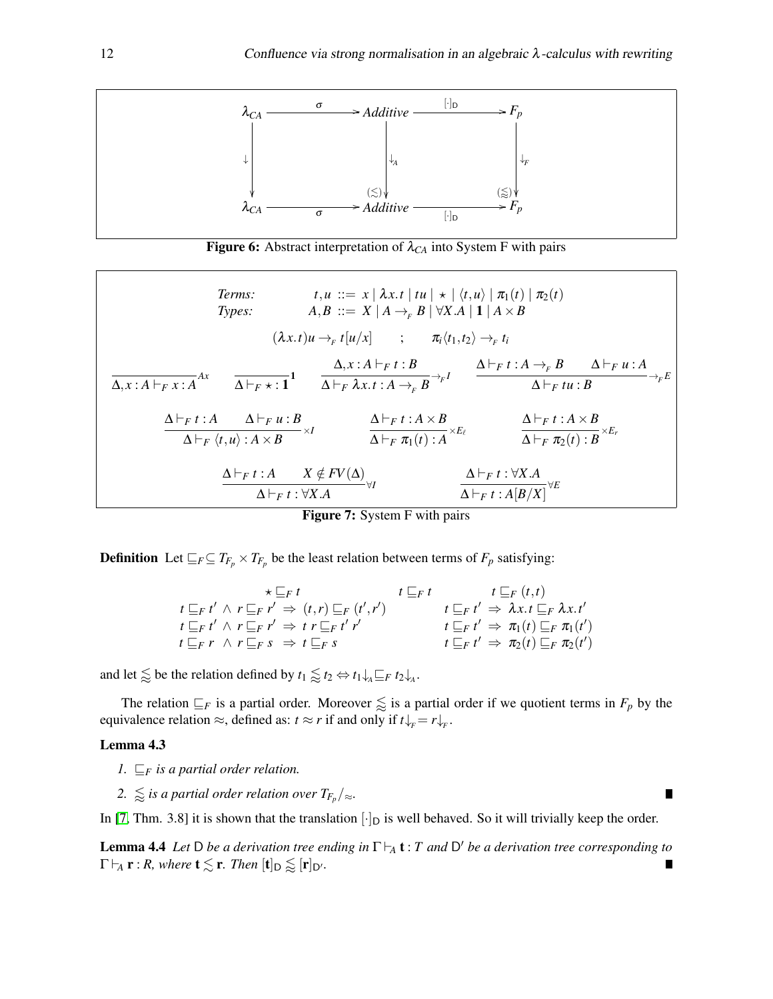

**Figure 6:** Abstract interpretation of  $\lambda_{CA}$  into System F with pairs

<span id="page-11-1"></span><span id="page-11-0"></span>*Terms:*  $t, u := x \mid \lambda x. t \mid tu \mid \star \mid \langle t, u \rangle \mid \pi_1(t) \mid \pi_2(t)$ *Types:*  $A, B ::= X | A \rightarrow_F B | \forall X.A | \mathbf{1} | A \times B$  $(\lambda x.t) u \rightarrow_F t [u/x]$  ;  $\pi_i \langle t_1, t_2 \rangle \rightarrow_F t_i$  $\frac{\Delta}{\Delta+x:A\vdash_F x:A}^{Ax}$   $\frac{\Delta F_F \star : 1}{\Delta \vdash_F x:A\vdash_F x:A\rightarrow_F x}$  $\frac{\Delta}{\Delta \vdash_F \lambda x.t. A \rightarrow_F B} \rightarrow F^I$   $\frac{\Delta \vdash_F t:A \rightarrow_F B}{\Delta \vdash_F tu:B}$  $\overrightarrow{\Delta \vdash_F t u : B} \longrightarrow_{F} E$  $\Delta \vdash_F t : A \qquad \Delta \vdash_F u : B$  $\frac{\Delta\vdash_F t:A}{\Delta\vdash_F \langle t,u\rangle:A\times B}\times I \qquad\qquad \frac{\Delta\vdash_F t:A\times B}{\Delta\vdash_F \pi_1(t):A}$  $\frac{\Delta \vdash_F t : A \times B}{\Delta \vdash_F \pi_1(t) : A} \times E_\ell} \qquad \qquad \frac{\Delta \vdash_F t : A \times B}{\Delta \vdash_F \pi_2(t) : B}$  $\overline{\Delta \vdash_F \pi_2(t) : B}^{\times E_r}$  $\Delta \vdash_F t : A \qquad X \notin FV(\Delta)$  $\Delta ⊢ F t : \forall X.A$ <br> $\Delta ⊢ F t : \forall X.A$ <br> $\Delta ⊢ F t : A[B/X]$  $\overline{\Delta \vdash_{F} t : A[B/X]}^{\forall E}$ 

Figure 7: System F with pairs

**Definition** Let  $\subseteq$ <sub>*F*</sub> $\subseteq$  *T*<sub>*F*<sup>*p*</sup></sub> × *T*<sub>*Fp*</sub> be the least relation between terms of *F<sub>p</sub>* satisfying:

| $\star \sqsubseteq_F t$ $t \sqsubseteq_F t$ $t \sqsubseteq_F (t,t)$                 |                                                                           |
|-------------------------------------------------------------------------------------|---------------------------------------------------------------------------|
| $t\sqsubseteq_F t' \wedge r\sqsubseteq_F r' \Rightarrow (t,r)\sqsubseteq_F (t',r')$ | $t \sqsubseteq_F t' \Rightarrow \lambda x. t \sqsubseteq_F \lambda x. t'$ |
| $t\sqsubseteq_F t' \wedge r\sqsubseteq_F r' \Rightarrow t r\sqsubseteq_F t' r'$     | $t \sqsubseteq_F t' \Rightarrow \pi_1(t) \sqsubseteq_F \pi_1(t')$         |
| $t\sqsubseteq_F r \land r\sqsubseteq_F s \Rightarrow t\sqsubseteq_F s$              | $t\sqsubseteq_F t' \Rightarrow \pi_2(t)\sqsubseteq_F \pi_2(t')$           |

and let  $\lessapprox$  be the relation defined by  $t_1 \lessapprox t_2 \Leftrightarrow t_1 \downarrow_A \sqsubseteq_F t_2 \downarrow_A$ .

The relation  $\subseteq$ *F* is a partial order. Moreover  $\lessapprox$  is a partial order if we quotient terms in  $F_p$  by the equivalence relation  $\approx$ , defined as:  $t \approx r$  if and only if  $t\downarrow_F = r\downarrow_F$ .

#### Lemma 4.3

- *1.*  $\mathbb{F}_F$  *is a partial order relation.*
- $2. \leq \leq i$ s a partial order relation over  $T_{F_p}/_{\approx}$ .

In [\[7,](#page-13-4) Thm. 3.8] it is shown that the translation  $[\cdot]_D$  is well behaved. So it will trivially keep the order.

<span id="page-11-3"></span><span id="page-11-2"></span>**Lemma 4.4** Let D be a derivation tree ending in  $\Gamma \vdash_A \mathbf{t}$ : *T* and D' be a derivation tree corresponding to  $\Gamma \vdash_A \mathbf{r} : R$ , where  $\mathbf{t} \lesssim \mathbf{r}$ . Then  $[\mathbf{t}]_{\mathbf{D}} \lessapprox [\mathbf{r}]_{\mathbf{D}'}$ .  $\blacksquare$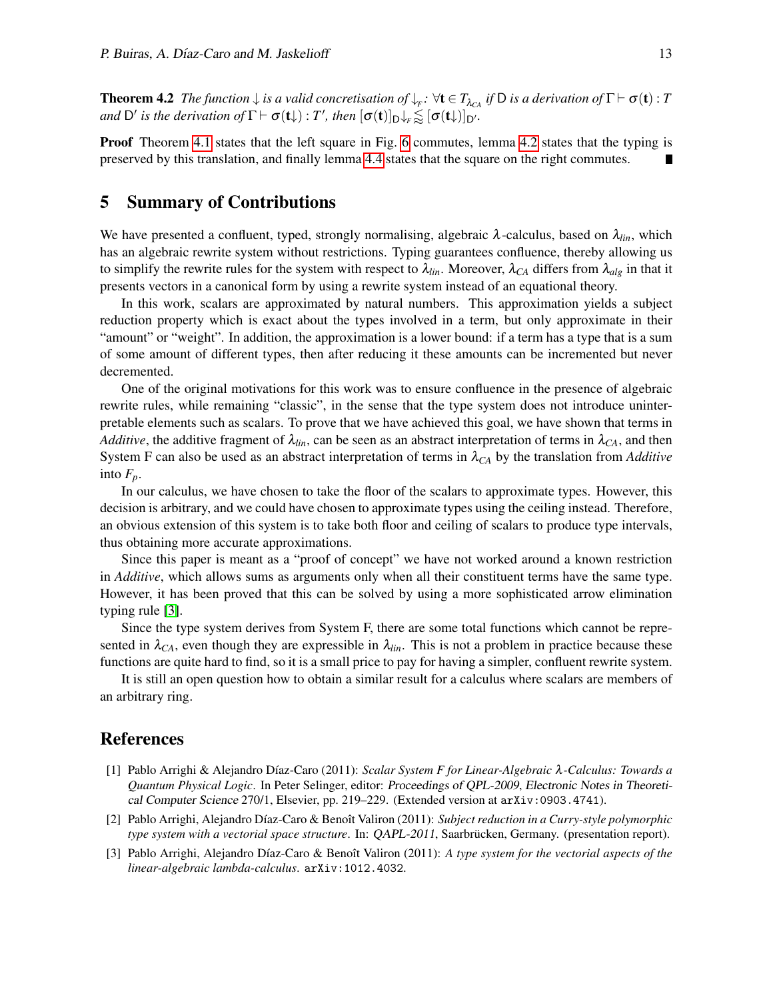**Theorem 4.2** *The function*  $\downarrow$  *is a valid concretisation of*  $\downarrow$ <sub>*F*</sub>:  $\forall$ **t**  $\in$   $T_{\lambda_{CA}}$  *if*  $D$  *is a derivation of*  $\Gamma$   $\vdash$   $\sigma$ (**t**) :  $T$ *and* D' is the derivation of  $\Gamma \vdash \sigma(\mathbf{t})$  : *T'*, then  $[\sigma(\mathbf{t})]_{D} \downarrow_{F} \lessapprox [\sigma(\mathbf{t})]_{D'}$ .

**Proof** Theorem [4.1](#page-10-1) states that the left square in Fig. [6](#page-11-0) commutes, lemma [4.2](#page-10-2) states that the typing is preserved by this translation, and finally lemma [4.4](#page-11-3) states that the square on the right commutes.  $\blacksquare$ 

# <span id="page-12-3"></span>5 Summary of Contributions

We have presented a confluent, typed, strongly normalising, algebraic  $\lambda$ -calculus, based on  $\lambda_{lin}$ , which has an algebraic rewrite system without restrictions. Typing guarantees confluence, thereby allowing us to simplify the rewrite rules for the system with respect to  $\lambda_{lin}$ . Moreover,  $\lambda_{CA}$  differs from  $\lambda_{alg}$  in that it presents vectors in a canonical form by using a rewrite system instead of an equational theory.

In this work, scalars are approximated by natural numbers. This approximation yields a subject reduction property which is exact about the types involved in a term, but only approximate in their "amount" or "weight". In addition, the approximation is a lower bound: if a term has a type that is a sum of some amount of different types, then after reducing it these amounts can be incremented but never decremented.

One of the original motivations for this work was to ensure confluence in the presence of algebraic rewrite rules, while remaining "classic", in the sense that the type system does not introduce uninterpretable elements such as scalars. To prove that we have achieved this goal, we have shown that terms in *Additive*, the additive fragment of  $\lambda_{lin}$ , can be seen as an abstract interpretation of terms in  $\lambda_{CA}$ , and then System F can also be used as an abstract interpretation of terms in  $\lambda_{CA}$  by the translation from *Additive* into  $F_p$ .

In our calculus, we have chosen to take the floor of the scalars to approximate types. However, this decision is arbitrary, and we could have chosen to approximate types using the ceiling instead. Therefore, an obvious extension of this system is to take both floor and ceiling of scalars to produce type intervals, thus obtaining more accurate approximations.

Since this paper is meant as a "proof of concept" we have not worked around a known restriction in *Additive*, which allows sums as arguments only when all their constituent terms have the same type. However, it has been proved that this can be solved by using a more sophisticated arrow elimination typing rule [\[3\]](#page-12-2).

Since the type system derives from System F, there are some total functions which cannot be represented in  $\lambda_{CA}$ , even though they are expressible in  $\lambda_{lin}$ . This is not a problem in practice because these functions are quite hard to find, so it is a small price to pay for having a simpler, confluent rewrite system.

It is still an open question how to obtain a similar result for a calculus where scalars are members of an arbitrary ring.

## References

- <span id="page-12-0"></span>[1] Pablo Arrighi & Alejandro D´ıaz-Caro (2011): *Scalar System F for Linear-Algebraic* λ*-Calculus: Towards a Quantum Physical Logic*. In Peter Selinger, editor: Proceedings of QPL-2009, Electronic Notes in Theoretical Computer Science 270/1, Elsevier, pp. 219–229. (Extended version at arXiv:0903.4741).
- <span id="page-12-1"></span>[2] Pablo Arrighi, Alejandro Díaz-Caro & Benoît Valiron (2011): *Subject reduction in a Curry-style polymorphic type system with a vectorial space structure*. In: QAPL-2011, Saarbrücken, Germany. (presentation report).
- <span id="page-12-2"></span>[3] Pablo Arrighi, Alejandro Díaz-Caro & Benoît Valiron (2011): *A type system for the vectorial aspects of the linear-algebraic lambda-calculus*. arXiv:1012.4032.